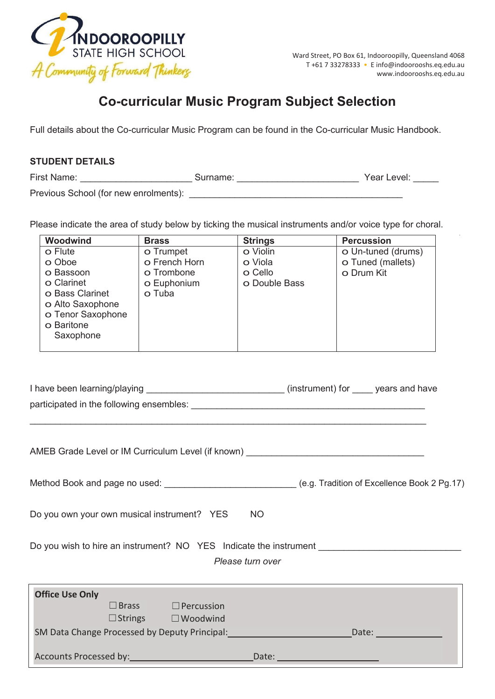

## **Co-curricular Music Program Subject Selection**

Full details about the Co-curricular Music Program can be found in the Co-curricular Music Handbook.

## **STUDENT DETAILS**

First Name: \_\_\_\_\_\_\_\_\_\_\_\_\_\_\_\_\_\_\_\_\_\_\_\_\_\_\_\_\_Surname: \_\_\_\_\_\_\_\_\_\_\_\_\_\_\_\_\_\_\_\_\_\_\_\_\_\_\_Year Level: \_\_\_\_\_\_\_\_\_\_

Previous School (for new enrolments):

Please indicate the area of study below by ticking the musical instruments and/or voice type for choral.

| <b>Woodwind</b>   | <b>Brass</b>  | <b>Strings</b> | <b>Percussion</b>  |
|-------------------|---------------|----------------|--------------------|
| o Flute           | o Trumpet     | o Violin       | o Un-tuned (drums) |
| o Oboe            | o French Horn | o Viola        | o Tuned (mallets)  |
| o Bassoon         | o Trombone    | o Cello        | o Drum Kit         |
| o Clarinet        | o Euphonium   | o Double Bass  |                    |
| o Bass Clarinet   | o Tuba        |                |                    |
| o Alto Saxophone  |               |                |                    |
| o Tenor Saxophone |               |                |                    |
| o Baritone        |               |                |                    |
| Saxophone         |               |                |                    |
|                   |               |                |                    |

I have been learning/playing \_\_\_\_\_\_\_\_\_\_\_\_\_\_\_\_\_\_\_\_\_\_\_\_\_\_\_\_\_\_\_\_(instrument) for \_\_\_\_\_ years and have participated in the following ensembles:

AMEB Grade Level or IM Curriculum Level (if known)

 $\_$  , and the set of the set of the set of the set of the set of the set of the set of the set of the set of the set of the set of the set of the set of the set of the set of the set of the set of the set of the set of th

Method Book and page no used: \_\_\_\_\_\_\_\_\_\_\_\_\_\_\_\_\_\_\_\_\_\_\_\_\_\_\_\_\_\_\_\_\_\_ (e.g. Tradition of Excellence Book 2 Pg.17)

Do you own your own musical instrument? YES NO

Do you wish to hire an instrument? NO YES Indicate the instrument \_\_\_\_\_\_\_\_\_\_\_\_\_\_

*Please turn over*

| <b>Office Use Only</b>                        |                |                   |       |  |  |
|-----------------------------------------------|----------------|-------------------|-------|--|--|
|                                               | $\Box$ Brass   | $\Box$ Percussion |       |  |  |
|                                               | $\Box$ Strings | $\Box$ Woodwind   |       |  |  |
| SM Data Change Processed by Deputy Principal: |                |                   | Date: |  |  |
|                                               |                |                   |       |  |  |
| Accounts Processed by:                        |                | Date:             |       |  |  |